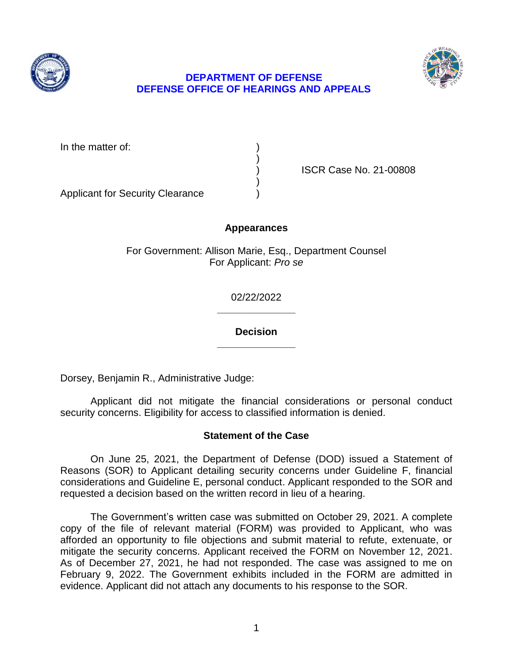



# **DEPARTMENT OF DEFENSE DEFENSE OFFICE OF HEARINGS AND APPEALS**

| In the matter of: |  |
|-------------------|--|
|                   |  |
|                   |  |
|                   |  |

) ISCR Case No. 21-00808

Applicant for Security Clearance )

# **Appearances**

For Government: Allison Marie, Esq., Department Counsel For Applicant: *Pro se* 

> **\_\_\_\_\_\_\_\_\_\_\_\_\_\_**  02/22/2022

> **\_\_\_\_\_\_\_\_\_\_\_\_\_\_ Decision**

Dorsey, Benjamin R., Administrative Judge:

 Applicant did not mitigate the financial considerations or personal conduct security concerns. Eligibility for access to classified information is denied.

## **Statement of the Case**

 considerations and Guideline E, personal conduct. Applicant responded to the SOR and requested a decision based on the written record in lieu of a hearing. On June 25, 2021, the Department of Defense (DOD) issued a Statement of Reasons (SOR) to Applicant detailing security concerns under Guideline F, financial

 The Government's written case was submitted on October 29, 2021. A complete copy of the file of relevant material (FORM) was provided to Applicant, who was afforded an opportunity to file objections and submit material to refute, extenuate, or mitigate the security concerns. Applicant received the FORM on November 12, 2021. As of December 27, 2021, he had not responded. The case was assigned to me on February 9, 2022. The Government exhibits included in the FORM are admitted in evidence. Applicant did not attach any documents to his response to the SOR.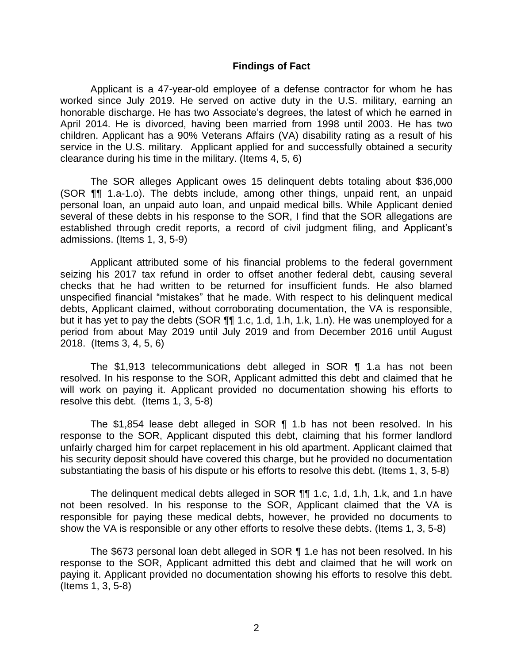#### **Findings of Fact**

 Applicant is a 47-year-old employee of a defense contractor for whom he has worked since July 2019. He served on active duty in the U.S. military, earning an honorable discharge. He has two Associate's degrees, the latest of which he earned in April 2014. He is divorced, having been married from 1998 until 2003. He has two children. Applicant has a 90% Veterans Affairs (VA) disability rating as a result of his service in the U.S. military. Applicant applied for and successfully obtained a security clearance during his time in the military. (Items 4, 5, 6)

 The SOR alleges Applicant owes 15 delinquent debts totaling about \$36,000 (SOR ¶¶ 1.a-1.o). The debts include, among other things, unpaid rent, an unpaid several of these debts in his response to the SOR, I find that the SOR allegations are established through credit reports, a record of civil judgment filing, and Applicant's personal loan, an unpaid auto loan, and unpaid medical bills. While Applicant denied admissions. (Items 1, 3, 5-9)

 Applicant attributed some of his financial problems to the federal government seizing his 2017 tax refund in order to offset another federal debt, causing several checks that he had written to be returned for insufficient funds. He also blamed unspecified financial "mistakes" that he made. With respect to his delinquent medical but it has yet to pay the debts (SOR ¶¶ 1.c, 1.d, 1.h, 1.k, 1.n). He was unemployed for a period from about May 2019 until July 2019 and from December 2016 until August debts, Applicant claimed, without corroborating documentation, the VA is responsible, 2018. (Items 3, 4, 5, 6)

 The \$1,913 telecommunications debt alleged in SOR ¶ 1.a has not been resolved. In his response to the SOR, Applicant admitted this debt and claimed that he will work on paying it. Applicant provided no documentation showing his efforts to resolve this debt. (Items 1, 3, 5-8)

 The \$1,854 lease debt alleged in SOR ¶ 1.b has not been resolved. In his response to the SOR, Applicant disputed this debt, claiming that his former landlord unfairly charged him for carpet replacement in his old apartment. Applicant claimed that his security deposit should have covered this charge, but he provided no documentation substantiating the basis of his dispute or his efforts to resolve this debt. (Items 1, 3, 5-8)

 The delinquent medical debts alleged in SOR ¶¶ 1.c, 1.d, 1.h, 1.k, and 1.n have not been resolved. In his response to the SOR, Applicant claimed that the VA is responsible for paying these medical debts, however, he provided no documents to show the VA is responsible or any other efforts to resolve these debts. (Items 1, 3, 5-8)

The \$673 personal loan debt alleged in SOR ¶ 1.e has not been resolved. In his response to the SOR, Applicant admitted this debt and claimed that he will work on paying it. Applicant provided no documentation showing his efforts to resolve this debt. (Items 1, 3, 5-8)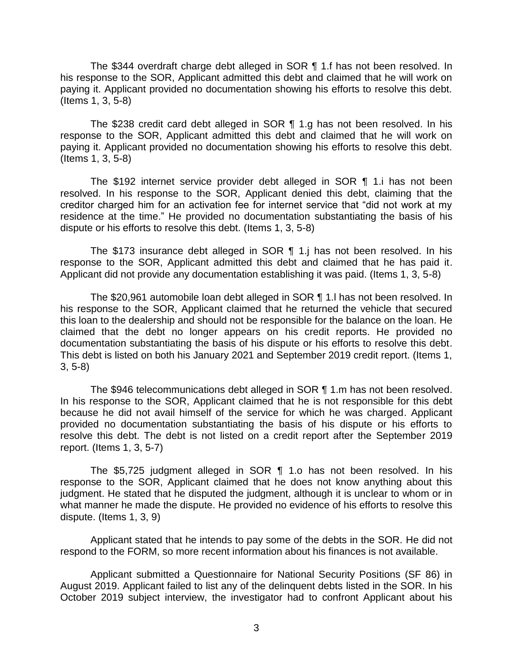his response to the SOR, Applicant admitted this debt and claimed that he will work on paying it. Applicant provided no documentation showing his efforts to resolve this debt. The \$344 overdraft charge debt alleged in SOR ¶ 1.f has not been resolved. In (Items 1, 3, 5-8)

 The \$238 credit card debt alleged in SOR ¶ 1.g has not been resolved. In his response to the SOR, Applicant admitted this debt and claimed that he will work on paying it. Applicant provided no documentation showing his efforts to resolve this debt. (Items 1, 3, 5-8)

 The \$192 internet service provider debt alleged in SOR ¶ 1.i has not been resolved. In his response to the SOR, Applicant denied this debt, claiming that the creditor charged him for an activation fee for internet service that "did not work at my residence at the time." He provided no documentation substantiating the basis of his dispute or his efforts to resolve this debt. (Items 1, 3, 5-8)

 The \$173 insurance debt alleged in SOR ¶ 1.j has not been resolved. In his response to the SOR, Applicant admitted this debt and claimed that he has paid it. Applicant did not provide any documentation establishing it was paid. (Items 1, 3, 5-8)

 The \$20,961 automobile loan debt alleged in SOR ¶ 1.l has not been resolved. In his response to the SOR, Applicant claimed that he returned the vehicle that secured this loan to the dealership and should not be responsible for the balance on the loan. He claimed that the debt no longer appears on his credit reports. He provided no documentation substantiating the basis of his dispute or his efforts to resolve this debt. This debt is listed on both his January 2021 and September 2019 credit report. (Items 1, 3, 5-8)

 In his response to the SOR, Applicant claimed that he is not responsible for this debt because he did not avail himself of the service for which he was charged. Applicant provided no documentation substantiating the basis of his dispute or his efforts to resolve this debt. The debt is not listed on a credit report after the September 2019 The \$946 telecommunications debt alleged in SOR ¶ 1.m has not been resolved. report. (Items 1, 3, 5-7)

 The \$5,725 judgment alleged in SOR ¶ 1.o has not been resolved. In his response to the SOR, Applicant claimed that he does not know anything about this judgment. He stated that he disputed the judgment, although it is unclear to whom or in what manner he made the dispute. He provided no evidence of his efforts to resolve this dispute. (Items 1, 3, 9)

 Applicant stated that he intends to pay some of the debts in the SOR. He did not respond to the FORM, so more recent information about his finances is not available.

 Applicant submitted a Questionnaire for National Security Positions (SF 86) in August 2019. Applicant failed to list any of the delinquent debts listed in the SOR. In his October 2019 subject interview, the investigator had to confront Applicant about his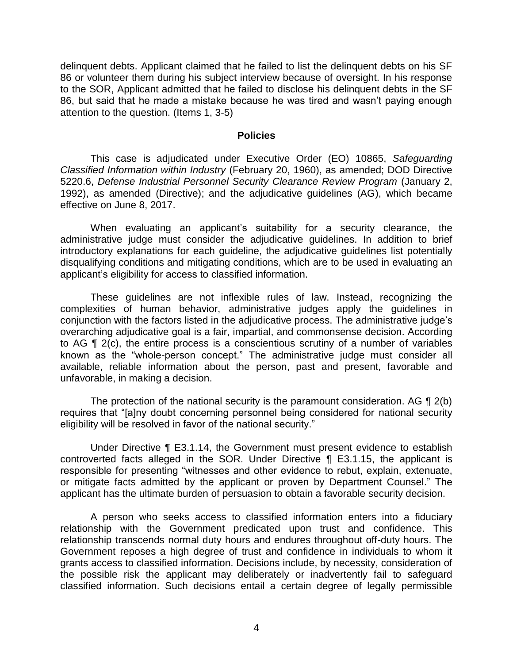delinquent debts. Applicant claimed that he failed to list the delinquent debts on his SF 86 or volunteer them during his subject interview because of oversight. In his response to the SOR, Applicant admitted that he failed to disclose his delinquent debts in the SF 86, but said that he made a mistake because he was tired and wasn't paying enough attention to the question. (Items 1, 3-5)

#### **Policies**

 *Classified Information within Industry* (February 20, 1960), as amended; DOD Directive 5220.6, *Defense Industrial Personnel Security Clearance Review Program* (January 2, 1992), as amended (Directive); and the adjudicative guidelines (AG), which became This case is adjudicated under Executive Order (EO) 10865, *Safeguarding*  effective on June 8, 2017.

 When evaluating an applicant's suitability for a security clearance, the administrative judge must consider the adjudicative guidelines. In addition to brief introductory explanations for each guideline, the adjudicative guidelines list potentially disqualifying conditions and mitigating conditions, which are to be used in evaluating an applicant's eligibility for access to classified information.

 These guidelines are not inflexible rules of law. Instead, recognizing the complexities of human behavior, administrative judges apply the guidelines in conjunction with the factors listed in the adjudicative process. The administrative judge's overarching adjudicative goal is a fair, impartial, and commonsense decision. According to AG ¶ 2(c), the entire process is a conscientious scrutiny of a number of variables known as the "whole-person concept." The administrative judge must consider all available, reliable information about the person, past and present, favorable and unfavorable, in making a decision.

The protection of the national security is the paramount consideration. AG  $\P$  2(b) requires that "[a]ny doubt concerning personnel being considered for national security eligibility will be resolved in favor of the national security."

 Under Directive ¶ E3.1.14, the Government must present evidence to establish controverted facts alleged in the SOR. Under Directive ¶ E3.1.15, the applicant is responsible for presenting "witnesses and other evidence to rebut, explain, extenuate, or mitigate facts admitted by the applicant or proven by Department Counsel." The applicant has the ultimate burden of persuasion to obtain a favorable security decision.

 A person who seeks access to classified information enters into a fiduciary relationship with the Government predicated upon trust and confidence. This relationship transcends normal duty hours and endures throughout off-duty hours. The Government reposes a high degree of trust and confidence in individuals to whom it grants access to classified information. Decisions include, by necessity, consideration of the possible risk the applicant may deliberately or inadvertently fail to safeguard classified information. Such decisions entail a certain degree of legally permissible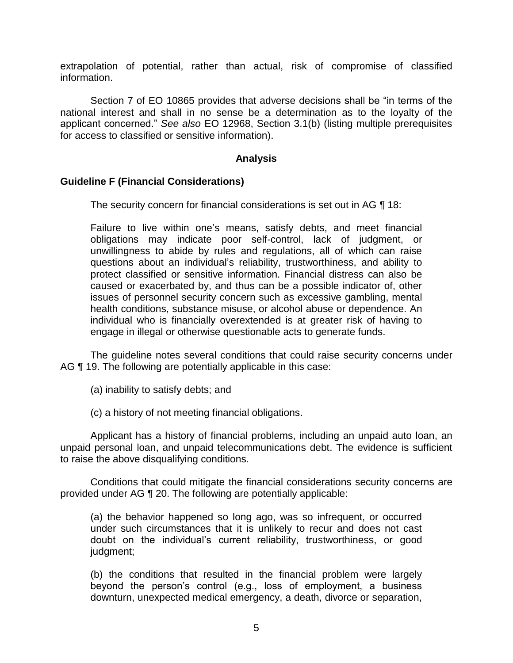extrapolation of potential, rather than actual, risk of compromise of classified information.

 Section 7 of EO 10865 provides that adverse decisions shall be "in terms of the national interest and shall in no sense be a determination as to the loyalty of the applicant concerned." *See also* EO 12968, Section 3.1(b) (listing multiple prerequisites for access to classified or sensitive information).

### **Analysis**

### **Guideline F (Financial Considerations)**

The security concern for financial considerations is set out in AG ¶ 18:

Failure to live within one's means, satisfy debts, and meet financial obligations may indicate poor self-control, lack of judgment, or unwillingness to abide by rules and regulations, all of which can raise questions about an individual's reliability, trustworthiness, and ability to protect classified or sensitive information. Financial distress can also be caused or exacerbated by, and thus can be a possible indicator of, other issues of personnel security concern such as excessive gambling, mental health conditions, substance misuse, or alcohol abuse or dependence. An individual who is financially overextended is at greater risk of having to engage in illegal or otherwise questionable acts to generate funds.

 The guideline notes several conditions that could raise security concerns under AG ¶ 19. The following are potentially applicable in this case:

(a) inability to satisfy debts; and

(c) a history of not meeting financial obligations.

 Applicant has a history of financial problems, including an unpaid auto loan, an unpaid personal loan, and unpaid telecommunications debt. The evidence is sufficient to raise the above disqualifying conditions.

 provided under AG ¶ 20. The following are potentially applicable: Conditions that could mitigate the financial considerations security concerns are

(a) the behavior happened so long ago, was so infrequent, or occurred under such circumstances that it is unlikely to recur and does not cast doubt on the individual's current reliability, trustworthiness, or good judgment;

(b) the conditions that resulted in the financial problem were largely beyond the person's control (e.g., loss of employment, a business downturn, unexpected medical emergency, a death, divorce or separation,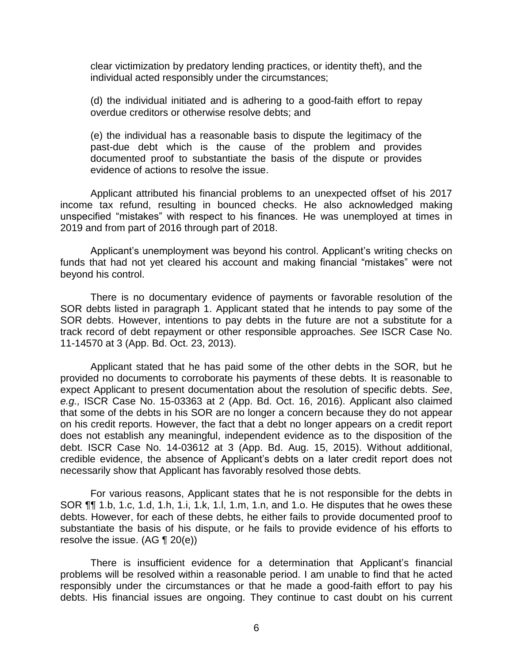clear victimization by predatory lending practices, or identity theft), and the individual acted responsibly under the circumstances;

(d) the individual initiated and is adhering to a good-faith effort to repay overdue creditors or otherwise resolve debts; and

(e) the individual has a reasonable basis to dispute the legitimacy of the past-due debt which is the cause of the problem and provides documented proof to substantiate the basis of the dispute or provides evidence of actions to resolve the issue.

 Applicant attributed his financial problems to an unexpected offset of his 2017 income tax refund, resulting in bounced checks. He also acknowledged making unspecified "mistakes" with respect to his finances. He was unemployed at times in 2019 and from part of 2016 through part of 2018.

 Applicant's unemployment was beyond his control. Applicant's writing checks on funds that had not yet cleared his account and making financial "mistakes" were not beyond his control.

 There is no documentary evidence of payments or favorable resolution of the SOR debts listed in paragraph 1. Applicant stated that he intends to pay some of the SOR debts. However, intentions to pay debts in the future are not a substitute for a track record of debt repayment or other responsible approaches. *See* ISCR Case No. 11-14570 at 3 (App. Bd. Oct. 23, 2013).

 11-14570 at 3 (App. Bd. Oct. 23, 2013). Applicant stated that he has paid some of the other debts in the SOR, but he provided no documents to corroborate his payments of these debts. It is reasonable to expect Applicant to present documentation about the resolution of specific debts. *See*, *e.g.,* ISCR Case No. 15-03363 at 2 (App. Bd. Oct. 16, 2016). Applicant also claimed that some of the debts in his SOR are no longer a concern because they do not appear on his credit reports. However, the fact that a debt no longer appears on a credit report does not establish any meaningful, independent evidence as to the disposition of the debt. ISCR Case No. 14-03612 at 3 (App. Bd. Aug. 15, 2015). Without additional, credible evidence, the absence of Applicant's debts on a later credit report does not necessarily show that Applicant has favorably resolved those debts.

 For various reasons, Applicant states that he is not responsible for the debts in SOR ¶¶ 1.b, 1.c, 1.d, 1.h, 1.i, 1.k, 1.l, 1.m, 1.n, and 1.o. He disputes that he owes these debts. However, for each of these debts, he either fails to provide documented proof to substantiate the basis of his dispute, or he fails to provide evidence of his efforts to resolve the issue. (AG ¶ 20(e))

 There is insufficient evidence for a determination that Applicant's financial problems will be resolved within a reasonable period. I am unable to find that he acted responsibly under the circumstances or that he made a good-faith effort to pay his debts. His financial issues are ongoing. They continue to cast doubt on his current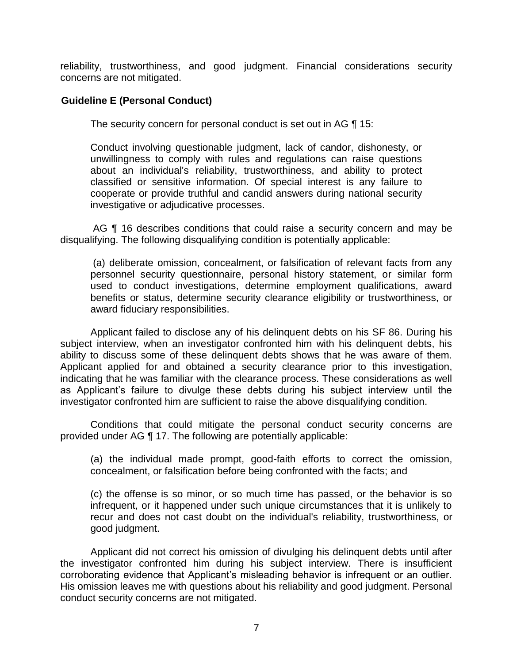reliability, trustworthiness, and good judgment. Financial considerations security concerns are not mitigated.

# **Guideline E (Personal Conduct)**

The security concern for personal conduct is set out in AG ¶ 15:

Conduct involving questionable judgment, lack of candor, dishonesty, or unwillingness to comply with rules and regulations can raise questions about an individual's reliability, trustworthiness, and ability to protect classified or sensitive information. Of special interest is any failure to cooperate or provide truthful and candid answers during national security investigative or adjudicative processes.

AG ¶ 16 describes conditions that could raise a security concern and may be disqualifying. The following disqualifying condition is potentially applicable:

(a) deliberate omission, concealment, or falsification of relevant facts from any personnel security questionnaire, personal history statement, or similar form used to conduct investigations, determine employment qualifications, award benefits or status, determine security clearance eligibility or trustworthiness, or award fiduciary responsibilities.

Applicant failed to disclose any of his delinquent debts on his SF 86. During his subject interview, when an investigator confronted him with his delinquent debts, his ability to discuss some of these delinquent debts shows that he was aware of them. Applicant applied for and obtained a security clearance prior to this investigation, indicating that he was familiar with the clearance process. These considerations as well as Applicant's failure to divulge these debts during his subject interview until the investigator confronted him are sufficient to raise the above disqualifying condition.

 Conditions that could mitigate the personal conduct security concerns are provided under AG ¶ 17. The following are potentially applicable:

(a) the individual made prompt, good-faith efforts to correct the omission, concealment, or falsification before being confronted with the facts; and

(c) the offense is so minor, or so much time has passed, or the behavior is so infrequent, or it happened under such unique circumstances that it is unlikely to recur and does not cast doubt on the individual's reliability, trustworthiness, or good judgment.

 the investigator confronted him during his subject interview. There is insufficient corroborating evidence that Applicant's misleading behavior is infrequent or an outlier. Applicant did not correct his omission of divulging his delinquent debts until after His omission leaves me with questions about his reliability and good judgment. Personal conduct security concerns are not mitigated.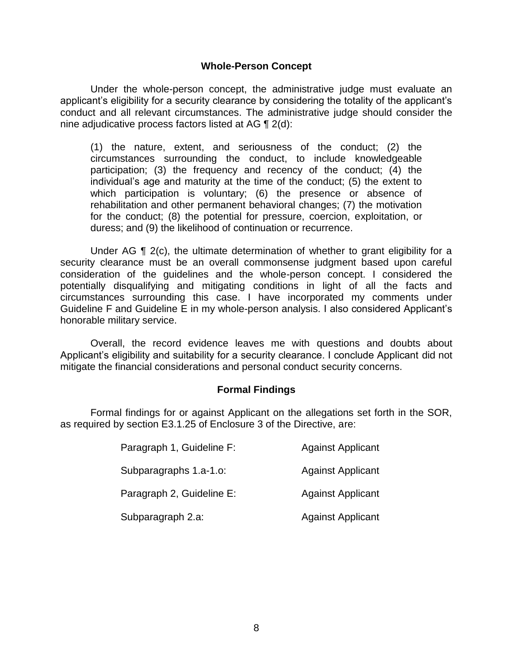#### **Whole-Person Concept**

Under the whole-person concept, the administrative judge must evaluate an applicant's eligibility for a security clearance by considering the totality of the applicant's conduct and all relevant circumstances. The administrative judge should consider the nine adjudicative process factors listed at AG ¶ 2(d):

(1) the nature, extent, and seriousness of the conduct; (2) the circumstances surrounding the conduct, to include knowledgeable participation; (3) the frequency and recency of the conduct; (4) the individual's age and maturity at the time of the conduct; (5) the extent to which participation is voluntary; (6) the presence or absence of rehabilitation and other permanent behavioral changes; (7) the motivation for the conduct; (8) the potential for pressure, coercion, exploitation, or duress; and (9) the likelihood of continuation or recurrence.

Under AG  $\P$  2(c), the ultimate determination of whether to grant eligibility for a security clearance must be an overall commonsense judgment based upon careful consideration of the guidelines and the whole-person concept. I considered the potentially disqualifying and mitigating conditions in light of all the facts and circumstances surrounding this case. I have incorporated my comments under Guideline F and Guideline E in my whole-person analysis. I also considered Applicant's honorable military service.

 Applicant's eligibility and suitability for a security clearance. I conclude Applicant did not Overall, the record evidence leaves me with questions and doubts about mitigate the financial considerations and personal conduct security concerns.

#### **Formal Findings**

 Formal findings for or against Applicant on the allegations set forth in the SOR, as required by section E3.1.25 of Enclosure 3 of the Directive, are:

| Paragraph 1, Guideline F: | <b>Against Applicant</b> |
|---------------------------|--------------------------|
| Subparagraphs 1.a-1.o:    | <b>Against Applicant</b> |
| Paragraph 2, Guideline E: | <b>Against Applicant</b> |
| Subparagraph 2.a:         | <b>Against Applicant</b> |